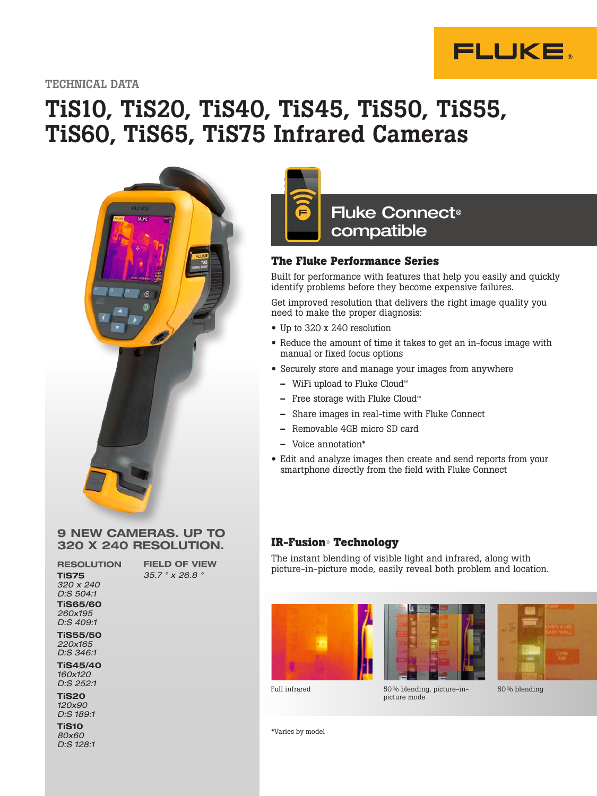

TECHNICAL DATA

# TiS10, TiS20, TiS40, TiS45, TiS50, TiS55, TiS60, TiS65, TiS75 Infrared Cameras



#### 9 NEW CAMERAS. UP TO 320 X 240 RESOLUTION.

FIELD OF VIEW 35.7 ° x 26.8 °

RESOLUTION TiS75 320 x 240 D:S 504:1 TiS65/60 260x195 D:S 409:1 TiS55/50

220x165 D:S 346:1

TiS45/40 160x120 D:S 252:1

TiS20 120x90 D:S 189:1

TiS10 80x60 D:S 128:1



### Fluke Connect® compatible

### **The Fluke Performance Series**

Built with

Built for performance with features that help you easily and quickly identify problems before they become expensive failures.

Get improved resolution that delivers the right image quality you need to make the proper diagnosis:

- Up to 320 x 240 resolution
- Reduce the amount of time it takes to get an in-focus image with manual or fixed focus options
- Securely store and manage your images from anywhere
	- WiFi upload to Fluke Cloud™
	- Free storage with Fluke Cloud™
	- Share images in real-time with Fluke Connect
	- Removable 4GB micro SD card
	- Voice annotation\*
- Edit and analyze images then create and send reports from your smartphone directly from the field with Fluke Connect

### **IR-Fusion**® **Technology**

The instant blending of visible light and infrared, along with picture-in-picture mode, easily reveal both problem and location.







Full infrared 50% blending, picture-inpicture mode

50 % blending

\*Varies by model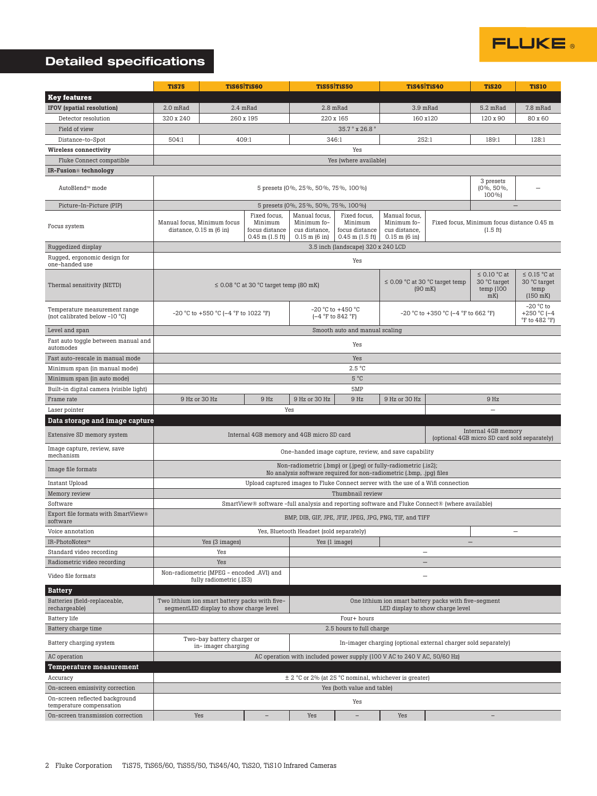

## Detailed specifications

|                                                                | TiS75<br><b>TiS65 TiS60</b>                                                                                                                                                            |                                                                       | <b>TiS55 TiS50</b>                          |                                                                            | TiS45 TiS40                                                      |                                                                                                | <b>TiS20</b>                                                     | <b>TiS10</b>                                         |                                                                  |  |  |
|----------------------------------------------------------------|----------------------------------------------------------------------------------------------------------------------------------------------------------------------------------------|-----------------------------------------------------------------------|---------------------------------------------|----------------------------------------------------------------------------|------------------------------------------------------------------|------------------------------------------------------------------------------------------------|------------------------------------------------------------------|------------------------------------------------------|------------------------------------------------------------------|--|--|
| <b>Key features</b>                                            |                                                                                                                                                                                        |                                                                       |                                             |                                                                            |                                                                  |                                                                                                |                                                                  |                                                      |                                                                  |  |  |
| <b>IFOV</b> (spatial resolution)                               | 2.0 mRad                                                                                                                                                                               |                                                                       | 2.4 mRad                                    | 2.8 mRad                                                                   |                                                                  | 3.9 mRad                                                                                       |                                                                  | 5.2 mRad                                             | 7.8 mRad                                                         |  |  |
| Detector resolution                                            | 320 x 240                                                                                                                                                                              | 260 x 195                                                             |                                             | 220 x 165                                                                  |                                                                  | 160 x120                                                                                       |                                                                  | 120 x 90                                             | 80 x 60                                                          |  |  |
| Field of view                                                  | 35.7° x 26.8°                                                                                                                                                                          |                                                                       |                                             |                                                                            |                                                                  |                                                                                                |                                                                  |                                                      |                                                                  |  |  |
| Distance-to-Spot                                               | 504:1<br>409:1<br>346:1<br>252:1                                                                                                                                                       |                                                                       |                                             |                                                                            |                                                                  |                                                                                                |                                                                  | 189:1                                                | 128:1                                                            |  |  |
| <b>Wireless connectivity</b>                                   |                                                                                                                                                                                        | Yes                                                                   |                                             |                                                                            |                                                                  |                                                                                                |                                                                  |                                                      |                                                                  |  |  |
| Fluke Connect compatible                                       | Yes (where available)                                                                                                                                                                  |                                                                       |                                             |                                                                            |                                                                  |                                                                                                |                                                                  |                                                      |                                                                  |  |  |
| IR-Fusion <sup>®</sup> technology                              |                                                                                                                                                                                        |                                                                       |                                             |                                                                            |                                                                  |                                                                                                |                                                                  |                                                      |                                                                  |  |  |
| AutoBlend™ mode                                                | 3 presets<br>(0%, 50%,<br>5 presets (0%, 25%, 50%, 75%, 100%)<br>100%)                                                                                                                 |                                                                       |                                             |                                                                            |                                                                  |                                                                                                |                                                                  |                                                      |                                                                  |  |  |
| Picture-In-Picture (PIP)                                       | 5 presets (0%, 25%, 50%, 75%, 100%)                                                                                                                                                    |                                                                       |                                             |                                                                            |                                                                  |                                                                                                |                                                                  |                                                      |                                                                  |  |  |
| Focus system                                                   | Fixed focus,<br>Minimum<br>Manual focus, Minimum focus<br>distance, $0.15$ m $(6$ in)<br>focus distance<br>$0.45$ m $(1.5$ ft)                                                         |                                                                       |                                             | Manual focus,<br>Minimum fo-<br>cus distance,<br>$0.15$ m $(6 \text{ in})$ | Fixed focus,<br>Minimum<br>focus distance<br>$0.45$ m $(1.5$ ft) | Manual focus.<br>Minimum fo-<br>cus distance,<br>$0.15$ m $(6 \text{ in})$                     | Fixed focus, Minimum focus distance 0.45 m<br>$(1.5 \text{ ft})$ |                                                      |                                                                  |  |  |
| Ruggedized display                                             | 3.5 inch (landscape) 320 x 240 LCD                                                                                                                                                     |                                                                       |                                             |                                                                            |                                                                  |                                                                                                |                                                                  |                                                      |                                                                  |  |  |
| Rugged, ergonomic design for<br>one-handed use                 | Yes                                                                                                                                                                                    |                                                                       |                                             |                                                                            |                                                                  |                                                                                                |                                                                  |                                                      |                                                                  |  |  |
| Thermal sensitivity (NETD)                                     |                                                                                                                                                                                        |                                                                       | $\leq$ 0.08 °C at 30 °C target temp (80 mK) |                                                                            |                                                                  | $\leq$ 0.09 °C at 30 °C target temp<br>$(90$ mK)                                               |                                                                  | $\leq$ 0.10 °C at<br>30 °C target<br>temp(100)<br>mK | $\leq$ 0.15 °C at<br>30 °C target<br>temp<br>$(150$ mK)          |  |  |
| Temperature measurement range<br>(not calibrated below -10 °C) | $-20$ °C to $+550$ °C ( $-4$ °F to 1022 °F)                                                                                                                                            |                                                                       |                                             |                                                                            | -20 °C to +450 °C<br>$(-4 °F)$ to 842 °F)                        | $-20$ °C to $+350$ °C ( $-4$ °F to 662 °F)                                                     |                                                                  |                                                      | $-20$ °C to<br>+250 °C ( $-4$<br>$\degree$ F to 482 $\degree$ F) |  |  |
| Level and span                                                 | Smooth auto and manual scaling                                                                                                                                                         |                                                                       |                                             |                                                                            |                                                                  |                                                                                                |                                                                  |                                                      |                                                                  |  |  |
| Fast auto toggle between manual and<br>automodes               | Yes                                                                                                                                                                                    |                                                                       |                                             |                                                                            |                                                                  |                                                                                                |                                                                  |                                                      |                                                                  |  |  |
| Fast auto-rescale in manual mode                               | Yes                                                                                                                                                                                    |                                                                       |                                             |                                                                            |                                                                  |                                                                                                |                                                                  |                                                      |                                                                  |  |  |
| Minimum span (in manual mode)                                  | 2.5 °C                                                                                                                                                                                 |                                                                       |                                             |                                                                            |                                                                  |                                                                                                |                                                                  |                                                      |                                                                  |  |  |
| Minimum span (in auto mode)                                    |                                                                                                                                                                                        |                                                                       |                                             |                                                                            | $5^{\circ}C$                                                     |                                                                                                |                                                                  |                                                      |                                                                  |  |  |
| Built-in digital camera (visible light)                        |                                                                                                                                                                                        |                                                                       |                                             |                                                                            | 5MP                                                              |                                                                                                |                                                                  |                                                      |                                                                  |  |  |
| Frame rate                                                     |                                                                                                                                                                                        | 9 Hz or 30 Hz                                                         | 9 Hz                                        | 9 Hz or 30 Hz                                                              | 9 Hz                                                             | 9 Hz or 30 Hz                                                                                  |                                                                  | 9 Hz                                                 |                                                                  |  |  |
| Laser pointer                                                  | Yes<br>$\qquad \qquad -$                                                                                                                                                               |                                                                       |                                             |                                                                            |                                                                  |                                                                                                |                                                                  |                                                      |                                                                  |  |  |
| Data storage and image capture                                 |                                                                                                                                                                                        |                                                                       |                                             |                                                                            |                                                                  |                                                                                                |                                                                  |                                                      |                                                                  |  |  |
| Extensive SD memory system                                     | Internal 4GB memory<br>Internal 4GB memory and 4GB micro SD card<br>(optional 4GB micro SD card sold separately)                                                                       |                                                                       |                                             |                                                                            |                                                                  |                                                                                                |                                                                  |                                                      |                                                                  |  |  |
| Image capture, review, save<br>mechanism                       | One-handed image capture, review, and save capability                                                                                                                                  |                                                                       |                                             |                                                                            |                                                                  |                                                                                                |                                                                  |                                                      |                                                                  |  |  |
| Image file formats                                             | Non-radiometric (.bmp) or (.jpeg) or fully-radiometric (.is2);<br>No analysis software required for non-radiometric (.bmp, .jpg) files                                                 |                                                                       |                                             |                                                                            |                                                                  |                                                                                                |                                                                  |                                                      |                                                                  |  |  |
| Instant Upload                                                 | Upload captured images to Fluke Connect server with the use of a Wifi connection                                                                                                       |                                                                       |                                             |                                                                            |                                                                  |                                                                                                |                                                                  |                                                      |                                                                  |  |  |
| Memory review                                                  | Thumbnail review                                                                                                                                                                       |                                                                       |                                             |                                                                            |                                                                  |                                                                                                |                                                                  |                                                      |                                                                  |  |  |
| Software                                                       |                                                                                                                                                                                        |                                                                       |                                             |                                                                            |                                                                  | SmartView® software -full analysis and reporting software and Fluke Connect® (where available) |                                                                  |                                                      |                                                                  |  |  |
| Export file formats with SmartView®<br>software                | BMP, DIB, GIF, JPE, JFIF, JPEG, JPG, PNG, TIF, and TIFF                                                                                                                                |                                                                       |                                             |                                                                            |                                                                  |                                                                                                |                                                                  |                                                      |                                                                  |  |  |
| Voice annotation                                               | Yes, Bluetooth Headset (sold separately)                                                                                                                                               |                                                                       |                                             |                                                                            |                                                                  |                                                                                                |                                                                  |                                                      |                                                                  |  |  |
| IR-PhotoNotes™                                                 | Yes (3 images)                                                                                                                                                                         |                                                                       | Yes (1 image)                               |                                                                            |                                                                  | $\overline{\phantom{0}}$                                                                       |                                                                  |                                                      |                                                                  |  |  |
| Standard video recording                                       |                                                                                                                                                                                        | Yes                                                                   |                                             |                                                                            |                                                                  | $\overline{\phantom{0}}$                                                                       |                                                                  |                                                      |                                                                  |  |  |
| Radiometric video recording                                    | Yes                                                                                                                                                                                    |                                                                       |                                             |                                                                            |                                                                  |                                                                                                |                                                                  |                                                      |                                                                  |  |  |
| Video file formats                                             |                                                                                                                                                                                        | Non-radiometric (MPEG - encoded .AVI) and<br>fully radiometric (.IS3) |                                             |                                                                            |                                                                  |                                                                                                |                                                                  |                                                      |                                                                  |  |  |
| <b>Battery</b>                                                 |                                                                                                                                                                                        |                                                                       |                                             |                                                                            |                                                                  |                                                                                                |                                                                  |                                                      |                                                                  |  |  |
| Batteries (field-replaceable,<br>rechargeable)                 | Two lithium ion smart battery packs with five-<br>One lithium ion smart battery packs with five-segment<br>segmentLED display to show charge level<br>LED display to show charge level |                                                                       |                                             |                                                                            |                                                                  |                                                                                                |                                                                  |                                                      |                                                                  |  |  |
| Battery life                                                   | Four+ hours                                                                                                                                                                            |                                                                       |                                             |                                                                            |                                                                  |                                                                                                |                                                                  |                                                      |                                                                  |  |  |
| Battery charge time                                            |                                                                                                                                                                                        |                                                                       |                                             |                                                                            | 2.5 hours to full charge                                         |                                                                                                |                                                                  |                                                      |                                                                  |  |  |
| Battery charging system                                        | Two-bay battery charger or<br>In-imager charging (optional external charger sold separately)<br>in-imager charging                                                                     |                                                                       |                                             |                                                                            |                                                                  |                                                                                                |                                                                  |                                                      |                                                                  |  |  |
| AC operation                                                   | AC operation with included power supply (100 V AC to 240 V AC, 50/60 Hz)                                                                                                               |                                                                       |                                             |                                                                            |                                                                  |                                                                                                |                                                                  |                                                      |                                                                  |  |  |
| Temperature measurement                                        |                                                                                                                                                                                        |                                                                       |                                             |                                                                            |                                                                  |                                                                                                |                                                                  |                                                      |                                                                  |  |  |
| Accuracy                                                       | $\pm$ 2 °C or 2% (at 25 °C nominal, whichever is greater)                                                                                                                              |                                                                       |                                             |                                                                            |                                                                  |                                                                                                |                                                                  |                                                      |                                                                  |  |  |
| On-screen emissivity correction                                | Yes (both value and table)                                                                                                                                                             |                                                                       |                                             |                                                                            |                                                                  |                                                                                                |                                                                  |                                                      |                                                                  |  |  |
| On-screen reflected background<br>temperature compensation     |                                                                                                                                                                                        | Yes                                                                   |                                             |                                                                            |                                                                  |                                                                                                |                                                                  |                                                      |                                                                  |  |  |
| On-screen transmission correction                              |                                                                                                                                                                                        | Yes                                                                   | $\qquad \qquad -$                           | Yes                                                                        | $\overline{\phantom{0}}$                                         | Yes                                                                                            |                                                                  | $\overline{\phantom{a}}$                             |                                                                  |  |  |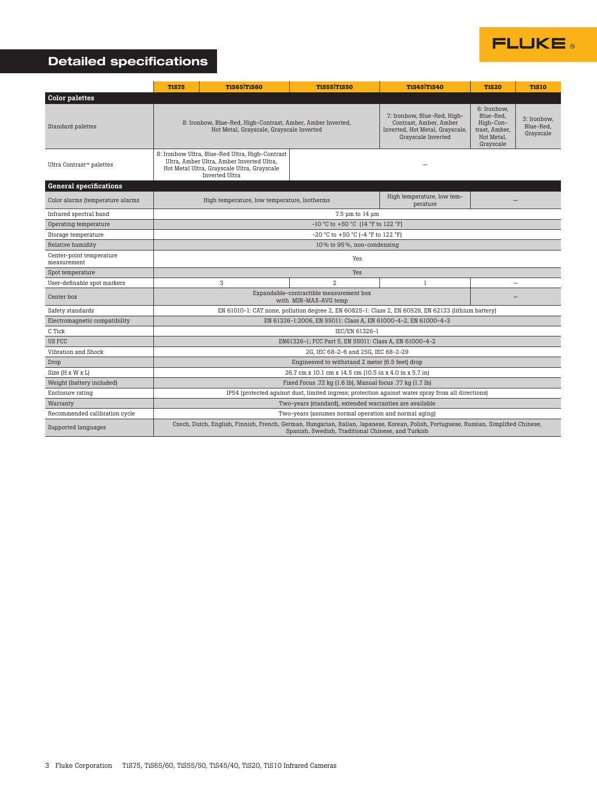

### Detailed specifications

|                                         | <b>TiS75</b>                                                                                                                                                                                 | TiS65 TiS60                                                                                                                                                   | <b>TiS55 TiS50</b> | TiS45 TiS40                                                                                                    | <b>TiS20</b>                                                                      | <b>TiS10</b>                          |  |  |  |  |
|-----------------------------------------|----------------------------------------------------------------------------------------------------------------------------------------------------------------------------------------------|---------------------------------------------------------------------------------------------------------------------------------------------------------------|--------------------|----------------------------------------------------------------------------------------------------------------|-----------------------------------------------------------------------------------|---------------------------------------|--|--|--|--|
| <b>Color palettes</b>                   |                                                                                                                                                                                              |                                                                                                                                                               |                    |                                                                                                                |                                                                                   |                                       |  |  |  |  |
| Standard palettes                       |                                                                                                                                                                                              | 8: Ironbow, Blue-Red, High-Contrast, Amber, Amber Inverted,<br>Hot Metal, Grayscale, Grayscale Inverted                                                       |                    | 7: Ironbow, Blue-Red, High-<br>Contrast, Amber, Amber<br>Inverted, Hot Metal, Grayscale,<br>Grayscale Inverted | 6: Ironbow.<br>Blue-Red.<br>High-Con-<br>trast, Amber,<br>Hot Metal,<br>Grayscale | 3: Ironbow.<br>Blue-Red,<br>Grayscale |  |  |  |  |
| Ultra Contrast™ palettes                |                                                                                                                                                                                              | 8: Ironbow Ultra, Blue-Red Ultra, High-Contrast<br>Ultra, Amber Ultra, Amber Inverted Ultra,<br>Hot Metal Ultra, Grayscale Ultra, Grayscale<br>Inverted Ultra |                    |                                                                                                                |                                                                                   |                                       |  |  |  |  |
| <b>General specifications</b>           |                                                                                                                                                                                              |                                                                                                                                                               |                    |                                                                                                                |                                                                                   |                                       |  |  |  |  |
| Color alarms (temperature alarms        |                                                                                                                                                                                              | High temperature, low temperature, Isotherms                                                                                                                  |                    | High temperature, low tem-<br>perature                                                                         |                                                                                   |                                       |  |  |  |  |
| Infrared spectral band                  | 7.5 µm to 14 µm                                                                                                                                                                              |                                                                                                                                                               |                    |                                                                                                                |                                                                                   |                                       |  |  |  |  |
| Operating temperature                   | $-10$ °C to $+50$ °C (14 °F to 122 °F)                                                                                                                                                       |                                                                                                                                                               |                    |                                                                                                                |                                                                                   |                                       |  |  |  |  |
| Storage temperature                     | -20 °C to +50 °C (-4 °F to 122 °F)                                                                                                                                                           |                                                                                                                                                               |                    |                                                                                                                |                                                                                   |                                       |  |  |  |  |
| Relative humidity                       | 10% to 95%, non-condensing                                                                                                                                                                   |                                                                                                                                                               |                    |                                                                                                                |                                                                                   |                                       |  |  |  |  |
| Center-point temperature<br>measurement | Yes                                                                                                                                                                                          |                                                                                                                                                               |                    |                                                                                                                |                                                                                   |                                       |  |  |  |  |
| Spot temperature                        | Yes                                                                                                                                                                                          |                                                                                                                                                               |                    |                                                                                                                |                                                                                   |                                       |  |  |  |  |
| User-definable spot markers             |                                                                                                                                                                                              | 3                                                                                                                                                             | $\overline{a}$     | 1                                                                                                              |                                                                                   |                                       |  |  |  |  |
| Center box                              | Expandable-contractible measurement box<br>with MIN-MAX-AVG temp                                                                                                                             |                                                                                                                                                               |                    |                                                                                                                |                                                                                   |                                       |  |  |  |  |
| Safety standards                        | EN 61010-1: CAT none, pollution degree 2, EN 60825-1: Class 2, EN 60529, EN 62133 (lithium battery)                                                                                          |                                                                                                                                                               |                    |                                                                                                                |                                                                                   |                                       |  |  |  |  |
| Electromagnetic compatibility           | EN 61326-1:2006, EN 55011: Class A, EN 61000-4-2, EN 61000-4-3                                                                                                                               |                                                                                                                                                               |                    |                                                                                                                |                                                                                   |                                       |  |  |  |  |
| C Tick                                  | IEC/EN 61326-1                                                                                                                                                                               |                                                                                                                                                               |                    |                                                                                                                |                                                                                   |                                       |  |  |  |  |
| US FCC                                  | EN61326-1; FCC Part 5, EN 55011: Class A, EN 61000-4-2                                                                                                                                       |                                                                                                                                                               |                    |                                                                                                                |                                                                                   |                                       |  |  |  |  |
| Vibration and Shock                     | 2G, IEC 68-2-6 and 25G, IEC 68-2-29                                                                                                                                                          |                                                                                                                                                               |                    |                                                                                                                |                                                                                   |                                       |  |  |  |  |
| Drop                                    | Engineered to withstand 2 meter (6.5 feet) drop                                                                                                                                              |                                                                                                                                                               |                    |                                                                                                                |                                                                                   |                                       |  |  |  |  |
| Size (H x W x L)                        | 26.7 cm x 10.1 cm x 14.5 cm (10.5 in x 4.0 in x 5.7 in)                                                                                                                                      |                                                                                                                                                               |                    |                                                                                                                |                                                                                   |                                       |  |  |  |  |
| Weight (battery included)               | Fixed Focus .72 kg (1.6 lb), Manual focus .77 kg (1.7 lb)                                                                                                                                    |                                                                                                                                                               |                    |                                                                                                                |                                                                                   |                                       |  |  |  |  |
| Enclosure rating                        | IP54 (protected against dust, limited ingress; protection against water spray from all directions)                                                                                           |                                                                                                                                                               |                    |                                                                                                                |                                                                                   |                                       |  |  |  |  |
| Warranty                                | Two-years (standard), extended warranties are available                                                                                                                                      |                                                                                                                                                               |                    |                                                                                                                |                                                                                   |                                       |  |  |  |  |
| Recommended calibration cycle           | Two-years (assumes normal operation and normal aging)                                                                                                                                        |                                                                                                                                                               |                    |                                                                                                                |                                                                                   |                                       |  |  |  |  |
| Supported languages                     | Czech, Dutch, English, Finnish, French, German, Hungarian, Italian, Japanese, Korean, Polish, Portuguese, Russian, Simplified Chinese,<br>Spanish, Swedish, Traditional Chinese, and Turkish |                                                                                                                                                               |                    |                                                                                                                |                                                                                   |                                       |  |  |  |  |